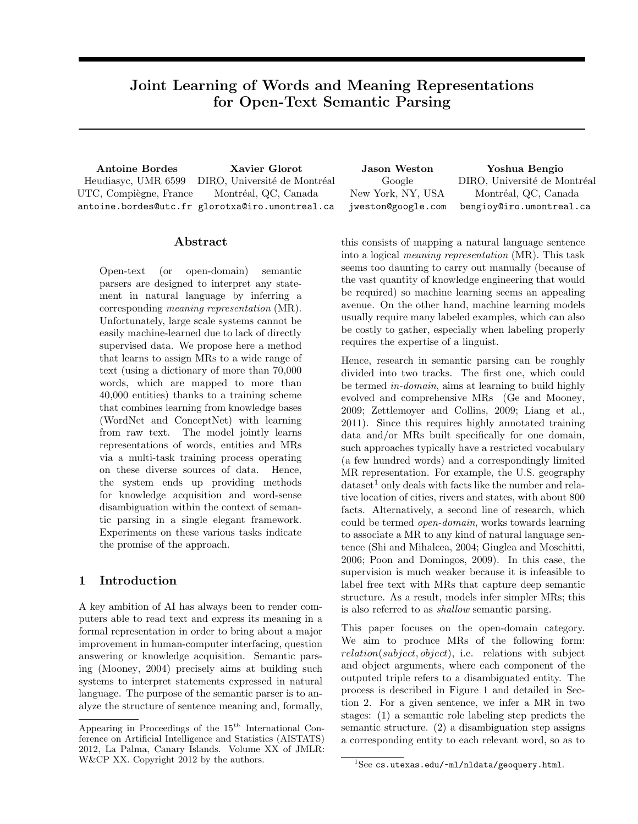# Joint Learning of Words and Meaning Representations for Open-Text Semantic Parsing

Antoine Bordes Xavier Glorot Jason Weston Yoshua Bengio Heudiasyc, UMR 6599 UTC, Compiègne, France antoine.bordes@utc.fr glorotxa@iro.umontreal.ca DIRO, Université de Montréal Montréal, QC, Canada

Google New York, NY, USA jweston@google.com DIRO, Université de Montréal Montréal, QC, Canada bengioy@iro.umontreal.ca

# Abstract

Open-text (or open-domain) semantic parsers are designed to interpret any statement in natural language by inferring a corresponding meaning representation (MR). Unfortunately, large scale systems cannot be easily machine-learned due to lack of directly supervised data. We propose here a method that learns to assign MRs to a wide range of text (using a dictionary of more than 70,000 words, which are mapped to more than 40,000 entities) thanks to a training scheme that combines learning from knowledge bases (WordNet and ConceptNet) with learning from raw text. The model jointly learns representations of words, entities and MRs via a multi-task training process operating on these diverse sources of data. Hence, the system ends up providing methods for knowledge acquisition and word-sense disambiguation within the context of semantic parsing in a single elegant framework. Experiments on these various tasks indicate the promise of the approach.

# 1 Introduction

A key ambition of AI has always been to render computers able to read text and express its meaning in a formal representation in order to bring about a major improvement in human-computer interfacing, question answering or knowledge acquisition. Semantic parsing (Mooney, 2004) precisely aims at building such systems to interpret statements expressed in natural language. The purpose of the semantic parser is to analyze the structure of sentence meaning and, formally,

this consists of mapping a natural language sentence into a logical meaning representation (MR). This task seems too daunting to carry out manually (because of the vast quantity of knowledge engineering that would be required) so machine learning seems an appealing avenue. On the other hand, machine learning models usually require many labeled examples, which can also be costly to gather, especially when labeling properly requires the expertise of a linguist.

Hence, research in semantic parsing can be roughly divided into two tracks. The first one, which could be termed in-domain, aims at learning to build highly evolved and comprehensive MRs (Ge and Mooney, 2009; Zettlemoyer and Collins, 2009; Liang et al., 2011). Since this requires highly annotated training data and/or MRs built specifically for one domain, such approaches typically have a restricted vocabulary (a few hundred words) and a correspondingly limited MR representation. For example, the U.S. geography  $dataset<sup>1</sup>$  only deals with facts like the number and relative location of cities, rivers and states, with about 800 facts. Alternatively, a second line of research, which could be termed open-domain, works towards learning to associate a MR to any kind of natural language sentence (Shi and Mihalcea, 2004; Giuglea and Moschitti, 2006; Poon and Domingos, 2009). In this case, the supervision is much weaker because it is infeasible to label free text with MRs that capture deep semantic structure. As a result, models infer simpler MRs; this is also referred to as shallow semantic parsing.

This paper focuses on the open-domain category. We aim to produce MRs of the following form: relation(subject, object), i.e. relations with subject and object arguments, where each component of the outputed triple refers to a disambiguated entity. The process is described in Figure 1 and detailed in Section 2. For a given sentence, we infer a MR in two stages: (1) a semantic role labeling step predicts the semantic structure. (2) a disambiguation step assigns a corresponding entity to each relevant word, so as to

Appearing in Proceedings of the  $15^{th}$  International Conference on Artificial Intelligence and Statistics (AISTATS) 2012, La Palma, Canary Islands. Volume XX of JMLR: W&CP XX. Copyright 2012 by the authors.

 ${}^{1}$ See cs.utexas.edu/~ml/nldata/geoquery.html.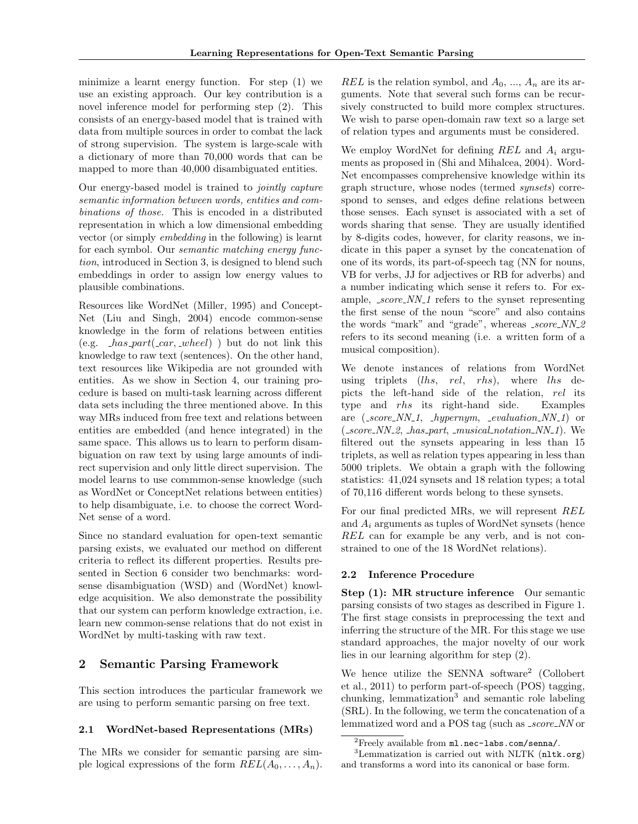minimize a learnt energy function. For step (1) we use an existing approach. Our key contribution is a novel inference model for performing step (2). This consists of an energy-based model that is trained with data from multiple sources in order to combat the lack of strong supervision. The system is large-scale with a dictionary of more than 70,000 words that can be mapped to more than 40,000 disambiguated entities.

Our energy-based model is trained to jointly capture semantic information between words, entities and combinations of those. This is encoded in a distributed representation in which a low dimensional embedding vector (or simply embedding in the following) is learnt for each symbol. Our semantic matching energy function, introduced in Section 3, is designed to blend such embeddings in order to assign low energy values to plausible combinations.

Resources like WordNet (Miller, 1995) and Concept-Net (Liu and Singh, 2004) encode common-sense knowledge in the form of relations between entities (e.g.  $has{\text -}part{\text -}car{\text -}wheel$ ) but do not link this knowledge to raw text (sentences). On the other hand, text resources like Wikipedia are not grounded with entities. As we show in Section 4, our training procedure is based on multi-task learning across different data sets including the three mentioned above. In this way MRs induced from free text and relations between entities are embedded (and hence integrated) in the same space. This allows us to learn to perform disambiguation on raw text by using large amounts of indirect supervision and only little direct supervision. The model learns to use commmon-sense knowledge (such as WordNet or ConceptNet relations between entities) to help disambiguate, i.e. to choose the correct Word-Net sense of a word.

Since no standard evaluation for open-text semantic parsing exists, we evaluated our method on different criteria to reflect its different properties. Results presented in Section 6 consider two benchmarks: wordsense disambiguation (WSD) and (WordNet) knowledge acquisition. We also demonstrate the possibility that our system can perform knowledge extraction, i.e. learn new common-sense relations that do not exist in WordNet by multi-tasking with raw text.

# 2 Semantic Parsing Framework

This section introduces the particular framework we are using to perform semantic parsing on free text.

### 2.1 WordNet-based Representations (MRs)

The MRs we consider for semantic parsing are simple logical expressions of the form  $REL(A_0, \ldots, A_n)$ . REL is the relation symbol, and  $A_0$ , ...,  $A_n$  are its arguments. Note that several such forms can be recursively constructed to build more complex structures. We wish to parse open-domain raw text so a large set of relation types and arguments must be considered.

We employ WordNet for defining  $REL$  and  $A_i$  arguments as proposed in (Shi and Mihalcea, 2004). Word-Net encompasses comprehensive knowledge within its graph structure, whose nodes (termed synsets) correspond to senses, and edges define relations between those senses. Each synset is associated with a set of words sharing that sense. They are usually identified by 8-digits codes, however, for clarity reasons, we indicate in this paper a synset by the concatenation of one of its words, its part-of-speech tag (NN for nouns, VB for verbs, JJ for adjectives or RB for adverbs) and a number indicating which sense it refers to. For example,  $_score\_NN_1$  refers to the synset representing the first sense of the noun "score" and also contains the words "mark" and "grade", whereas  $\_score\_NN\_2$ refers to its second meaning (i.e. a written form of a musical composition).

We denote instances of relations from WordNet using triplets  $(lhs, rel, rhs)$ , where  $lhs$  depicts the left-hand side of the relation, rel its type and *rhs* its right-hand side. Examples are  $(z\text{core\_NN\_1}, \text{hypernym}, \text{\_evaluation\_NN\_1})$  or  $(zscore_NN_2, \text{has-part}, \text{musical}$ -notation  $NN_1$ ). We filtered out the synsets appearing in less than 15 triplets, as well as relation types appearing in less than 5000 triplets. We obtain a graph with the following statistics: 41,024 synsets and 18 relation types; a total of 70,116 different words belong to these synsets.

For our final predicted MRs, we will represent REL and  $A_i$  arguments as tuples of WordNet synsets (hence REL can for example be any verb, and is not constrained to one of the 18 WordNet relations).

### 2.2 Inference Procedure

Step (1): MR structure inference Our semantic parsing consists of two stages as described in Figure 1. The first stage consists in preprocessing the text and inferring the structure of the MR. For this stage we use standard approaches, the major novelty of our work lies in our learning algorithm for step (2).

We hence utilize the SENNA software<sup>2</sup> (Collobert et al., 2011) to perform part-of-speech (POS) tagging, chunking, lemmatization<sup>3</sup> and semantic role labeling (SRL). In the following, we term the concatenation of a lemmatized word and a POS tag (such as \_score\_NN or

 ${}^{2}$ Freely available from  $m1.nec-labs.com/senna/$ .

 ${}^{3}$ Lemmatization is carried out with NLTK (nltk.org) and transforms a word into its canonical or base form.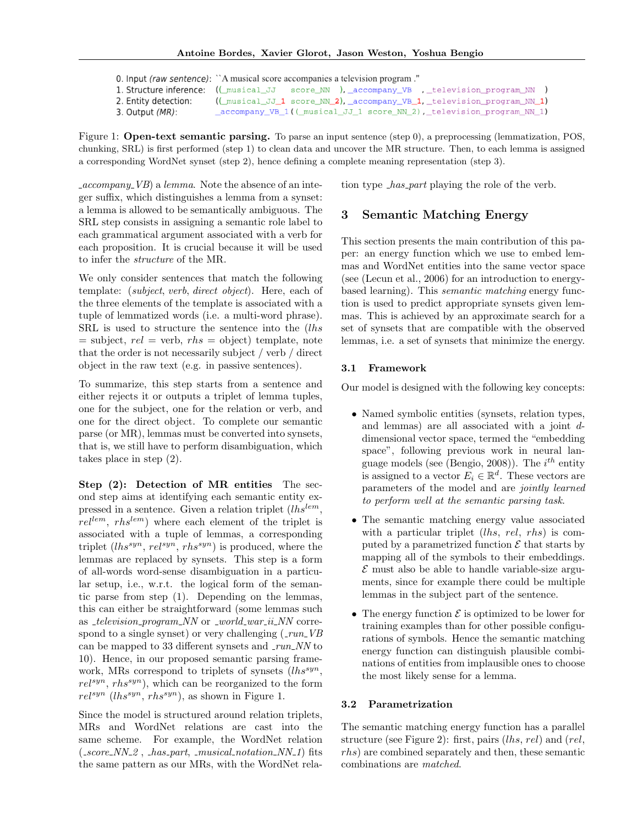0. Input (raw sentence): "A musical score accompanies a television program." 1. Structure inference: ((\_musical\_JJ score\_NN ), \_accompany\_VB , \_television\_program\_NN ) 2. Entity detection: ((\_musical\_JJ\_1 score\_NN\_2), \_accompany\_VB\_1, \_television\_program\_NN\_1) 3. Output (MR): \_accompany\_VB\_1((\_musical\_JJ\_1 score\_NN\_2),\_television\_program\_NN\_1)

Figure 1: Open-text semantic parsing. To parse an input sentence (step 0), a preprocessing (lemmatization, POS, chunking, SRL) is first performed (step 1) to clean data and uncover the MR structure. Then, to each lemma is assigned a corresponding WordNet synset (step 2), hence defining a complete meaning representation (step 3).

 $\text{\textdegree}$  accompany VB) a lemma. Note the absence of an integer suffix, which distinguishes a lemma from a synset: a lemma is allowed to be semantically ambiguous. The SRL step consists in assigning a semantic role label to each grammatical argument associated with a verb for each proposition. It is crucial because it will be used to infer the structure of the MR.

We only consider sentences that match the following template: (subject, verb, direct object). Here, each of the three elements of the template is associated with a tuple of lemmatized words (i.e. a multi-word phrase). SRL is used to structure the sentence into the (lhs  $=$  subject,  $rel =$  verb,  $rhs =$  object) template, note that the order is not necessarily subject / verb / direct object in the raw text (e.g. in passive sentences).

To summarize, this step starts from a sentence and either rejects it or outputs a triplet of lemma tuples, one for the subject, one for the relation or verb, and one for the direct object. To complete our semantic parse (or MR), lemmas must be converted into synsets, that is, we still have to perform disambiguation, which takes place in step (2).

Step (2): Detection of MR entities The second step aims at identifying each semantic entity expressed in a sentence. Given a relation triplet  $(lhs^{lem}$ ,  $rel^{lem}$ ,  $rhs^{lem}$ ) where each element of the triplet is associated with a tuple of lemmas, a corresponding triplet  $(lhs^{syn}, rel^{syn}, rhs^{syn})$  is produced, where the lemmas are replaced by synsets. This step is a form of all-words word-sense disambiguation in a particular setup, i.e., w.r.t. the logical form of the semantic parse from step (1). Depending on the lemmas, this can either be straightforward (some lemmas such as  $_ttelevision\_program\_NN$  or  $_tword\_war_t$  in NN correspond to a single synset) or very challenging  $(\text{run}_V\overline{B})$ can be mapped to 33 different synsets and  $\_run\_NN$  to 10). Hence, in our proposed semantic parsing framework, MRs correspond to triplets of synsets  $(lhs^{syn}$ ,  $rel^{syn}$ , rhs<sup>syn</sup>), which can be reorganized to the form  $rel^{syn} (lhs^{syn}, rhs^{syn})$ , as shown in Figure 1.

Since the model is structured around relation triplets, MRs and WordNet relations are cast into the same scheme. For example, the WordNet relation  $(-score_NN_2, \text{has-part}, \text{musical notation}_NN_1)$  fits the same pattern as our MRs, with the WordNet relation type  $\textit{has-part}$  playing the role of the verb.

# 3 Semantic Matching Energy

This section presents the main contribution of this paper: an energy function which we use to embed lemmas and WordNet entities into the same vector space (see (Lecun et al., 2006) for an introduction to energybased learning). This semantic matching energy function is used to predict appropriate synsets given lemmas. This is achieved by an approximate search for a set of synsets that are compatible with the observed lemmas, i.e. a set of synsets that minimize the energy.

#### 3.1 Framework

Our model is designed with the following key concepts:

- Named symbolic entities (synsets, relation types, and lemmas) are all associated with a joint ddimensional vector space, termed the "embedding space", following previous work in neural language models (see (Bengio, 2008)). The  $i^{th}$  entity is assigned to a vector  $E_i \in \mathbb{R}^d$ . These vectors are parameters of the model and are jointly learned to perform well at the semantic parsing task.
- The semantic matching energy value associated with a particular triplet  $(lhs, rel, rhs)$  is computed by a parametrized function  $\mathcal E$  that starts by mapping all of the symbols to their embeddings.  $\mathcal E$  must also be able to handle variable-size arguments, since for example there could be multiple lemmas in the subject part of the sentence.
- The energy function  $\mathcal E$  is optimized to be lower for training examples than for other possible configurations of symbols. Hence the semantic matching energy function can distinguish plausible combinations of entities from implausible ones to choose the most likely sense for a lemma.

#### 3.2 Parametrization

The semantic matching energy function has a parallel structure (see Figure 2): first, pairs (lhs, rel) and (rel, rhs) are combined separately and then, these semantic combinations are matched.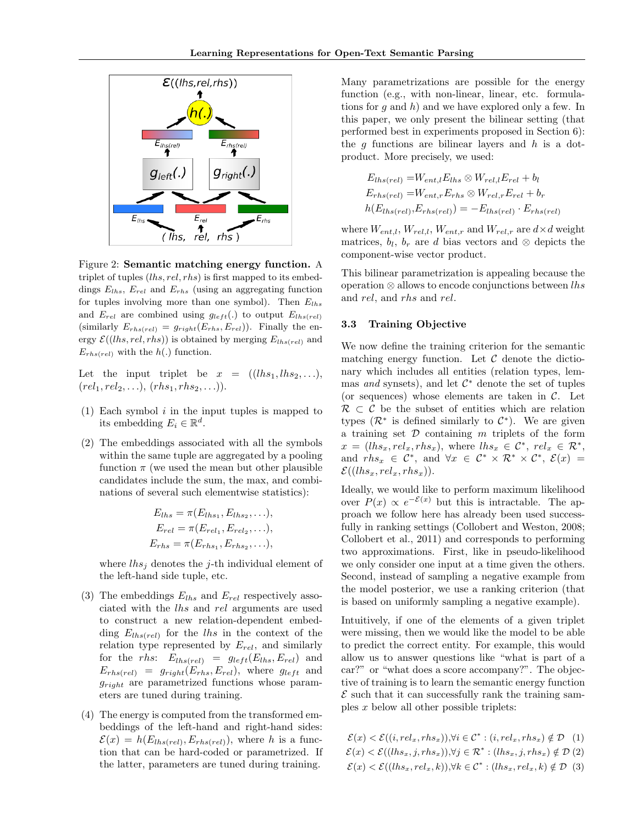

Figure 2: Semantic matching energy function. A triplet of tuples  $(lhs, rel, rhs)$  is first mapped to its embeddings  $E_{lhs}$ ,  $E_{rel}$  and  $E_{rhs}$  (using an aggregating function for tuples involving more than one symbol). Then  $E_{lhs}$ and  $E_{rel}$  are combined using  $g_{left}()$  to output  $E_{lhs(rel)}$ (similarly  $E_{rhs(rel)} = g_{right}(E_{rhs}, E_{rel})$ ). Finally the energy  $\mathcal{E}((\text{ }h\text{ },\text{ }rel,\text{ }rhs))$  is obtained by merging  $E_{\text{ }l\text{ }hs(\text{ }rel)}$  and  $E_{rhs(rel)}$  with the  $h(.)$  function.

Let the input triplet be  $x = ((\text{l}hs_1, \text{l}hs_2, \ldots)),$  $(rel_1, rel_2, \ldots), (rhs_1, rhs_2, \ldots)).$ 

- (1) Each symbol  $i$  in the input tuples is mapped to its embedding  $E_i \in \mathbb{R}^d$ .
- (2) The embeddings associated with all the symbols within the same tuple are aggregated by a pooling function  $\pi$  (we used the mean but other plausible candidates include the sum, the max, and combinations of several such elementwise statistics):

$$
E_{lhs} = \pi(E_{lhs_1}, E_{lhs_2}, \ldots),
$$
  
\n
$$
E_{rel} = \pi(E_{rel_1}, E_{rel_2}, \ldots),
$$
  
\n
$$
E_{rhs} = \pi(E_{rhs_1}, E_{rhs_2}, \ldots),
$$

where  $\ln s_i$  denotes the j-th individual element of the left-hand side tuple, etc.

- (3) The embeddings  $E_{lhs}$  and  $E_{rel}$  respectively associated with the lhs and rel arguments are used to construct a new relation-dependent embedding  $E_{lbs (rel)}$  for the lhs in the context of the relation type represented by  $E_{rel}$ , and similarly for the rhs:  $E_{lhs (rel)} = g_{left}(E_{lhs}E_{rel})$  and  $E_{rhs(rel)} = g_{right}(E_{rhs}, E_{rel}),$  where  $g_{left}$  and  $g_{ri}$  are parametrized functions whose parameters are tuned during training.
- (4) The energy is computed from the transformed embeddings of the left-hand and right-hand sides:  $\mathcal{E}(x) = h(E_{lhs (rel)}, E_{rhs (rel)})$ , where h is a function that can be hard-coded or parametrized. If the latter, parameters are tuned during training.

Many parametrizations are possible for the energy function (e.g., with non-linear, linear, etc. formulations for q and h) and we have explored only a few. In this paper, we only present the bilinear setting (that performed best in experiments proposed in Section 6): the  $q$  functions are bilinear layers and  $h$  is a dotproduct. More precisely, we used:

$$
E_{lhs (rel)} = W_{ent,l} E_{lhs} \otimes W_{rel,l} E_{rel} + b_l
$$
  
\n
$$
E_{rhs (rel)} = W_{ent,r} E_{rhs} \otimes W_{rel,r} E_{rel} + b_r
$$
  
\n
$$
h(E_{lhs (rel)}, E_{rhs (rel)}) = -E_{lhs (rel)} \cdot E_{rhs (rel)}
$$

where  $W_{ent,l}$ ,  $W_{rel,l}$ ,  $W_{ent,r}$  and  $W_{rel,r}$  are  $d \times d$  weight matrices,  $b_l$ ,  $b_r$  are d bias vectors and ⊗ depicts the component-wise vector product.

This bilinear parametrization is appealing because the operation  $\otimes$  allows to encode conjunctions between lhs and rel, and rhs and rel.

#### 3.3 Training Objective

We now define the training criterion for the semantic matching energy function. Let  $\mathcal C$  denote the dictionary which includes all entities (relation types, lemmas and synsets), and let  $\mathcal{C}^*$  denote the set of tuples (or sequences) whose elements are taken in  $\mathcal{C}$ . Let  $\mathcal{R} \subset \mathcal{C}$  be the subset of entities which are relation types  $(\mathcal{R}^*$  is defined similarly to  $\mathcal{C}^*$ ). We are given a training set  $\mathcal D$  containing m triplets of the form  $x = (lhs_x, rel_x, rhs_x),$  where  $lhs_x \in \mathcal{C}^*,$   $rel_x \in \mathcal{R}^*,$ and  $rhs_x \in \mathcal{C}^*$ , and  $\forall x \in \mathcal{C}^* \times \mathcal{R}^* \times \mathcal{C}^*$ ,  $\mathcal{E}(x) =$  $\mathcal{E}((\text{lh}_x,\text{rel}_x,\text{rh}_x)).$ 

Ideally, we would like to perform maximum likelihood over  $P(x) \propto e^{-\mathcal{E}(x)}$  but this is intractable. The approach we follow here has already been used successfully in ranking settings (Collobert and Weston, 2008; Collobert et al., 2011) and corresponds to performing two approximations. First, like in pseudo-likelihood we only consider one input at a time given the others. Second, instead of sampling a negative example from the model posterior, we use a ranking criterion (that is based on uniformly sampling a negative example).

Intuitively, if one of the elements of a given triplet were missing, then we would like the model to be able to predict the correct entity. For example, this would allow us to answer questions like "what is part of a car?" or "what does a score accompany?". The objective of training is to learn the semantic energy function  $\mathcal E$  such that it can successfully rank the training samples x below all other possible triplets:

$$
\mathcal{E}(x) < \mathcal{E}((i, rel_x, rhs_x)), \forall i \in \mathcal{C}^* : (i, rel_x, rhs_x) \notin \mathcal{D} \quad (1)
$$
\n
$$
\mathcal{E}(x) < \mathcal{E}((\ln s_x, j, rhs_x)), \forall j \in \mathcal{R}^* : (\ln s_x, j, rhs_x) \notin \mathcal{D} \quad (2)
$$
\n
$$
\mathcal{E}(x) < \mathcal{E}((\ln s_x, rel_x, k)), \forall k \in \mathcal{C}^* : (\ln s_x, rel_x, k) \notin \mathcal{D} \quad (3)
$$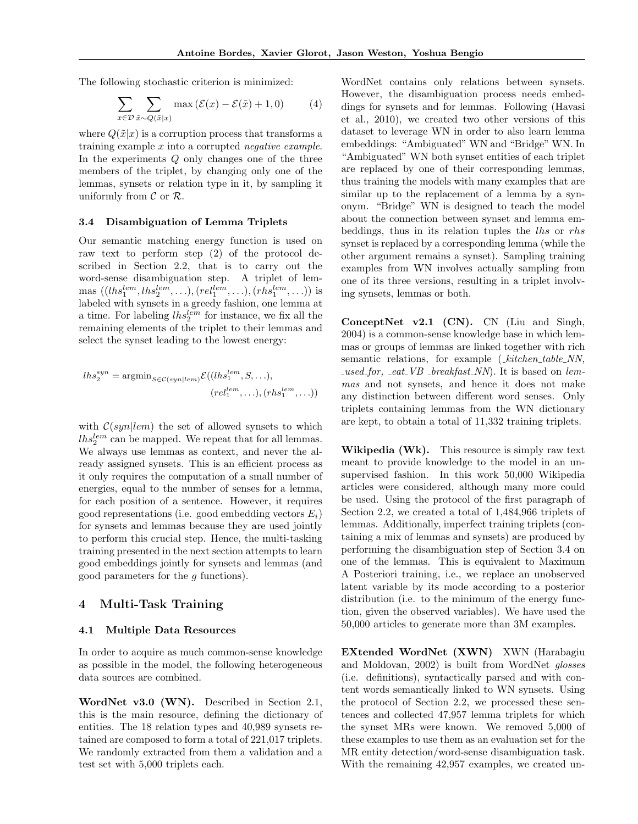The following stochastic criterion is minimized:

$$
\sum_{x \in \mathcal{D}} \sum_{\tilde{x} \sim Q(\tilde{x}|x)} \max \left( \mathcal{E}(x) - \mathcal{E}(\tilde{x}) + 1, 0 \right) \tag{4}
$$

where  $Q(\tilde{x}|x)$  is a corruption process that transforms a training example x into a corrupted negative example. In the experiments Q only changes one of the three members of the triplet, by changing only one of the lemmas, synsets or relation type in it, by sampling it uniformly from  $\mathcal C$  or  $\mathcal R$ .

#### 3.4 Disambiguation of Lemma Triplets

Our semantic matching energy function is used on raw text to perform step (2) of the protocol described in Section 2.2, that is to carry out the word-sense disambiguation step. A triplet of lem- $\text{mas } ((\text{lh} s_1^{\text{lem}}, \text{lh} s_2^{\text{lem}}, \ldots), (\text{rel}_1^{\text{lem}}, \ldots), (\text{rh} s_1^{\text{lem}}, \ldots))$  is labeled with synsets in a greedy fashion, one lemma at a time. For labeling  $lhs_2^{lem}$  for instance, we fix all the remaining elements of the triplet to their lemmas and select the synset leading to the lowest energy:

$$
lhs_2^{syn} = \operatorname{argmin}_{S \in \mathcal{C}(syn|lem)} \mathcal{E}((lhs_1^{lem}, S, \ldots),(rel_1^{lem}, \ldots), (rhs_1^{lem}, \ldots))
$$

with  $C(syn|lem)$  the set of allowed synsets to which  $lhs_2^{lem}$  can be mapped. We repeat that for all lemmas. We always use lemmas as context, and never the already assigned synsets. This is an efficient process as it only requires the computation of a small number of energies, equal to the number of senses for a lemma, for each position of a sentence. However, it requires good representations (i.e. good embedding vectors  $E_i$ ) for synsets and lemmas because they are used jointly to perform this crucial step. Hence, the multi-tasking training presented in the next section attempts to learn good embeddings jointly for synsets and lemmas (and good parameters for the g functions).

#### 4 Multi-Task Training

#### 4.1 Multiple Data Resources

In order to acquire as much common-sense knowledge as possible in the model, the following heterogeneous data sources are combined.

WordNet v3.0 (WN). Described in Section 2.1, this is the main resource, defining the dictionary of entities. The 18 relation types and 40,989 synsets retained are composed to form a total of 221,017 triplets. We randomly extracted from them a validation and a test set with 5,000 triplets each.

WordNet contains only relations between synsets. However, the disambiguation process needs embeddings for synsets and for lemmas. Following (Havasi et al., 2010), we created two other versions of this dataset to leverage WN in order to also learn lemma embeddings: "Ambiguated" WN and "Bridge" WN. In "Ambiguated" WN both synset entities of each triplet are replaced by one of their corresponding lemmas, thus training the models with many examples that are similar up to the replacement of a lemma by a synonym. "Bridge" WN is designed to teach the model about the connection between synset and lemma embeddings, thus in its relation tuples the lhs or rhs synset is replaced by a corresponding lemma (while the other argument remains a synset). Sampling training examples from WN involves actually sampling from one of its three versions, resulting in a triplet involving synsets, lemmas or both.

ConceptNet v2.1 (CN). CN (Liu and Singh, 2004) is a common-sense knowledge base in which lemmas or groups of lemmas are linked together with rich semantic relations, for example (\_kitchen\_table\_NN,  $used_for,$   $\_eat\_VB\_breakfast\_NN$ ). It is based on lemmas and not synsets, and hence it does not make any distinction between different word senses. Only triplets containing lemmas from the WN dictionary are kept, to obtain a total of 11,332 training triplets.

Wikipedia (Wk). This resource is simply raw text meant to provide knowledge to the model in an unsupervised fashion. In this work 50,000 Wikipedia articles were considered, although many more could be used. Using the protocol of the first paragraph of Section 2.2, we created a total of 1,484,966 triplets of lemmas. Additionally, imperfect training triplets (containing a mix of lemmas and synsets) are produced by performing the disambiguation step of Section 3.4 on one of the lemmas. This is equivalent to Maximum A Posteriori training, i.e., we replace an unobserved latent variable by its mode according to a posterior distribution (i.e. to the minimum of the energy function, given the observed variables). We have used the 50,000 articles to generate more than 3M examples.

EXtended WordNet (XWN) XWN (Harabagiu and Moldovan, 2002) is built from WordNet glosses (i.e. definitions), syntactically parsed and with content words semantically linked to WN synsets. Using the protocol of Section 2.2, we processed these sentences and collected 47,957 lemma triplets for which the synset MRs were known. We removed 5,000 of these examples to use them as an evaluation set for the MR entity detection/word-sense disambiguation task. With the remaining 42,957 examples, we created un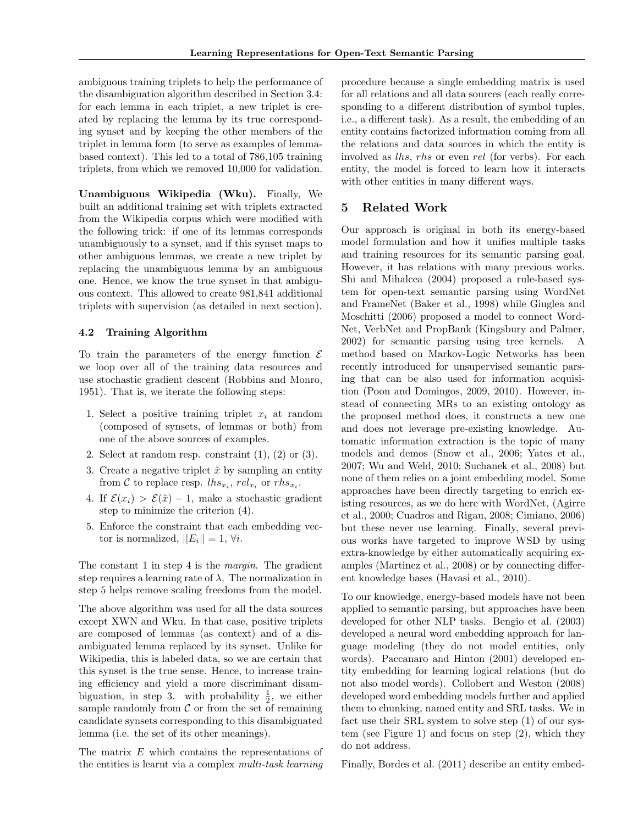ambiguous training triplets to help the performance of the disambiguation algorithm described in Section 3.4: for each lemma in each triplet, a new triplet is created by replacing the lemma by its true corresponding synset and by keeping the other members of the triplet in lemma form (to serve as examples of lemmabased context). This led to a total of 786,105 training triplets, from which we removed 10,000 for validation.

Unambiguous Wikipedia (Wku). Finally, We built an additional training set with triplets extracted from the Wikipedia corpus which were modified with the following trick: if one of its lemmas corresponds unambiguously to a synset, and if this synset maps to other ambiguous lemmas, we create a new triplet by replacing the unambiguous lemma by an ambiguous one. Hence, we know the true synset in that ambiguous context. This allowed to create 981,841 additional triplets with supervision (as detailed in next section).

### 4.2 Training Algorithm

To train the parameters of the energy function  $\mathcal E$ we loop over all of the training data resources and use stochastic gradient descent (Robbins and Monro, 1951). That is, we iterate the following steps:

- 1. Select a positive training triplet  $x_i$  at random (composed of synsets, of lemmas or both) from one of the above sources of examples.
- 2. Select at random resp. constraint  $(1)$ ,  $(2)$  or  $(3)$ .
- 3. Create a negative triplet  $\tilde{x}$  by sampling an entity from C to replace resp.  $\ln s_{x_i}$ ,  $rel_{x_i}$  or  $rhs_{x_i}$ .
- 4. If  $\mathcal{E}(x_i) > \mathcal{E}(\tilde{x}) 1$ , make a stochastic gradient step to minimize the criterion (4).
- 5. Enforce the constraint that each embedding vector is normalized,  $||E_i|| = 1, \forall i$ .

The constant 1 in step 4 is the margin. The gradient step requires a learning rate of  $\lambda$ . The normalization in step 5 helps remove scaling freedoms from the model.

The above algorithm was used for all the data sources except XWN and Wku. In that case, positive triplets are composed of lemmas (as context) and of a disambiguated lemma replaced by its synset. Unlike for Wikipedia, this is labeled data, so we are certain that this synset is the true sense. Hence, to increase training efficiency and yield a more discriminant disambiguation, in step 3. with probability  $\frac{1}{2}$ , we either sample randomly from  $C$  or from the set of remaining candidate synsets corresponding to this disambiguated lemma (i.e. the set of its other meanings).

The matrix E which contains the representations of the entities is learnt via a complex multi-task learning

procedure because a single embedding matrix is used for all relations and all data sources (each really corresponding to a different distribution of symbol tuples, i.e., a different task). As a result, the embedding of an entity contains factorized information coming from all the relations and data sources in which the entity is involved as lhs, rhs or even rel (for verbs). For each entity, the model is forced to learn how it interacts with other entities in many different ways.

## 5 Related Work

Our approach is original in both its energy-based model formulation and how it unifies multiple tasks and training resources for its semantic parsing goal. However, it has relations with many previous works. Shi and Mihalcea (2004) proposed a rule-based system for open-text semantic parsing using WordNet and FrameNet (Baker et al., 1998) while Giuglea and Moschitti (2006) proposed a model to connect Word-Net, VerbNet and PropBank (Kingsbury and Palmer, 2002) for semantic parsing using tree kernels. A method based on Markov-Logic Networks has been recently introduced for unsupervised semantic parsing that can be also used for information acquisition (Poon and Domingos, 2009, 2010). However, instead of connecting MRs to an existing ontology as the proposed method does, it constructs a new one and does not leverage pre-existing knowledge. Automatic information extraction is the topic of many models and demos (Snow et al., 2006; Yates et al., 2007; Wu and Weld, 2010; Suchanek et al., 2008) but none of them relies on a joint embedding model. Some approaches have been directly targeting to enrich existing resources, as we do here with WordNet, (Agirre et al., 2000; Cuadros and Rigau, 2008; Cimiano, 2006) but these never use learning. Finally, several previous works have targeted to improve WSD by using extra-knowledge by either automatically acquiring examples (Martinez et al., 2008) or by connecting different knowledge bases (Havasi et al., 2010).

To our knowledge, energy-based models have not been applied to semantic parsing, but approaches have been developed for other NLP tasks. Bengio et al. (2003) developed a neural word embedding approach for language modeling (they do not model entities, only words). Paccanaro and Hinton (2001) developed entity embedding for learning logical relations (but do not also model words). Collobert and Weston (2008) developed word embedding models further and applied them to chunking, named entity and SRL tasks. We in fact use their SRL system to solve step (1) of our system (see Figure 1) and focus on step (2), which they do not address.

Finally, Bordes et al. (2011) describe an entity embed-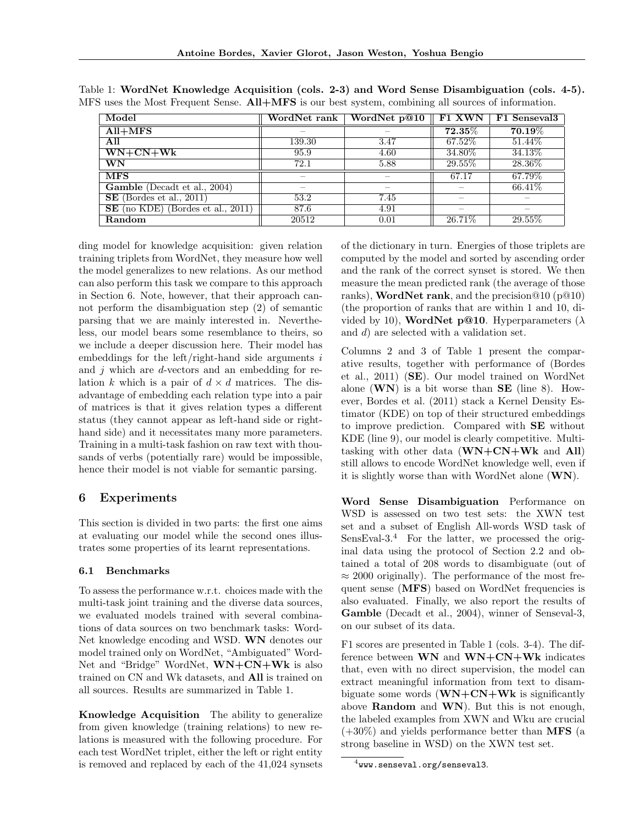| Model                               | WordNet rank | WordNet p@10 | F1 XWN    | F1 Senseval3 |
|-------------------------------------|--------------|--------------|-----------|--------------|
| $All+MFS$                           |              |              | $72.35\%$ | $70.19\%$    |
| All                                 | 139.30       | 3.47         | 67.52%    | 51.44\%      |
| $WN + CN + Wk$                      | 95.9         | 4.60         | 34.80\%   | 34.13\%      |
| $\overline{\text{WN}}$              | 72.1         | 5.88         | 29.55%    | 28.36\%      |
| <b>MFS</b>                          |              |              | 67.17     | 67.79%       |
| Gamble (Decadt et al., 2004)        |              |              |           | 66.41\%      |
| $SE$ (Bordes et al., 2011)          | 53.2         | 7.45         |           |              |
| $SE$ (no KDE) (Bordes et al., 2011) | 87.6         | 4.91         |           |              |
| Random                              | 20512        | 0.01         | $26.71\%$ | 29.55%       |

Table 1: WordNet Knowledge Acquisition (cols. 2-3) and Word Sense Disambiguation (cols. 4-5). MFS uses the Most Frequent Sense. All+MFS is our best system, combining all sources of information.

ding model for knowledge acquisition: given relation training triplets from WordNet, they measure how well the model generalizes to new relations. As our method can also perform this task we compare to this approach in Section 6. Note, however, that their approach cannot perform the disambiguation step (2) of semantic parsing that we are mainly interested in. Nevertheless, our model bears some resemblance to theirs, so we include a deeper discussion here. Their model has embeddings for the left/right-hand side arguments  $i$ and  $j$  which are  $d$ -vectors and an embedding for relation k which is a pair of  $d \times d$  matrices. The disadvantage of embedding each relation type into a pair of matrices is that it gives relation types a different status (they cannot appear as left-hand side or righthand side) and it necessitates many more parameters. Training in a multi-task fashion on raw text with thousands of verbs (potentially rare) would be impossible, hence their model is not viable for semantic parsing.

# 6 Experiments

This section is divided in two parts: the first one aims at evaluating our model while the second ones illustrates some properties of its learnt representations.

### 6.1 Benchmarks

To assess the performance w.r.t. choices made with the multi-task joint training and the diverse data sources, we evaluated models trained with several combinations of data sources on two benchmark tasks: Word-Net knowledge encoding and WSD. WN denotes our model trained only on WordNet, "Ambiguated" Word-Net and "Bridge" WordNet,  $WN+CN+WK$  is also trained on CN and Wk datasets, and All is trained on all sources. Results are summarized in Table 1.

Knowledge Acquisition The ability to generalize from given knowledge (training relations) to new relations is measured with the following procedure. For each test WordNet triplet, either the left or right entity is removed and replaced by each of the 41,024 synsets

of the dictionary in turn. Energies of those triplets are computed by the model and sorted by ascending order and the rank of the correct synset is stored. We then measure the mean predicted rank (the average of those ranks), **WordNet rank**, and the precision  $@10$  (p $@10$ ) (the proportion of ranks that are within 1 and 10, divided by 10), WordNet p@10. Hyperparameters ( $\lambda$ and d) are selected with a validation set.

Columns 2 and 3 of Table 1 present the comparative results, together with performance of (Bordes et al., 2011) (SE). Our model trained on WordNet alone  $(WN)$  is a bit worse than **SE** (line 8). However, Bordes et al. (2011) stack a Kernel Density Estimator (KDE) on top of their structured embeddings to improve prediction. Compared with SE without KDE (line 9), our model is clearly competitive. Multitasking with other data  $(WN+CN+WK$  and All) still allows to encode WordNet knowledge well, even if it is slightly worse than with WordNet alone (WN).

Word Sense Disambiguation Performance on WSD is assessed on two test sets: the XWN test set and a subset of English All-words WSD task of SensEval-3.<sup>4</sup> For the latter, we processed the original data using the protocol of Section 2.2 and obtained a total of 208 words to disambiguate (out of  $\approx 2000$  originally). The performance of the most frequent sense (MFS) based on WordNet frequencies is also evaluated. Finally, we also report the results of Gamble (Decadt et al., 2004), winner of Senseval-3, on our subset of its data.

F1 scores are presented in Table 1 (cols. 3-4). The difference between WN and WN+CN+Wk indicates that, even with no direct supervision, the model can extract meaningful information from text to disambiguate some words  $(WN+CN+Wk)$  is significantly above Random and WN). But this is not enough, the labeled examples from XWN and Wku are crucial (+30%) and yields performance better than MFS (a strong baseline in WSD) on the XWN test set.

 $^4$ www.senseval.org/senseval3.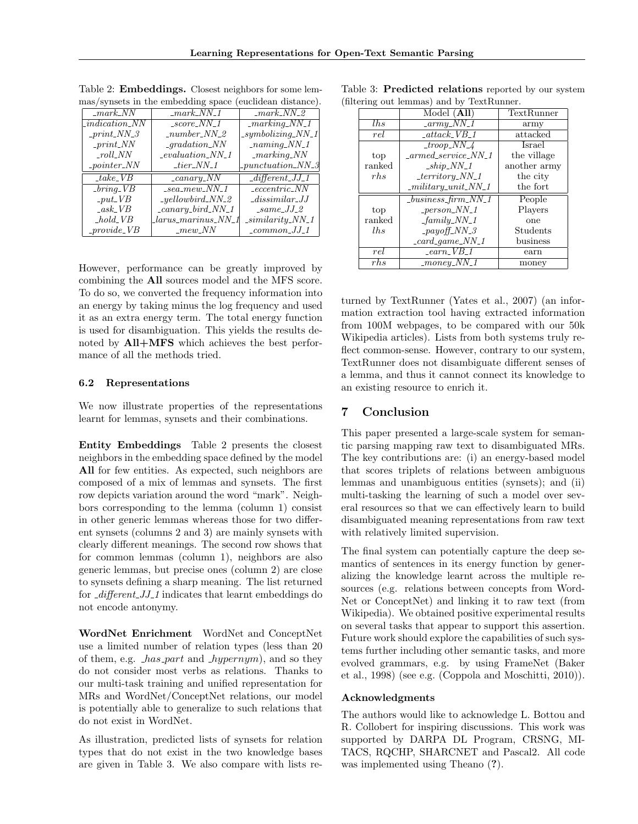| $\_mark\_NN$                  | $\_mark_NN_1$                  | $maxk_NN_2$                             |
|-------------------------------|--------------------------------|-----------------------------------------|
| $\_indication_NN$             | $\_score_NN_1$                 | $\_marking_NN_1$                        |
| $\_print_NN_3$                | $_number_NN_2$                 | $\_symbol{\mathit{symbolicing\_NN\_1}}$ |
| $\_print_NN$                  | $_quation_N$                   | $_naming_NN_1$                          |
| $_{roll\_NN}$                 | $\_evaluation\_NN\_1$          | $\_marking_N$                           |
| $\_pointer\_NN$               | $\_tier_NN_1$                  | $_{{\scriptstyle -}punctuation\_NN\_3}$ |
| $\_{take\_VB}$                | $\frac{1}{2}canary_N$          | $-different_JJ_1$                       |
| $\overline{\text{bring\_VB}}$ | $\_sea\_me\overline{w\_NN\_1}$ | $\_eccentric_NN$                        |
| $_{-}put_{-}VB$               | $_{y}$ ellowbird_NN_2          | $_{\_}dissimilar\_JJ$                   |
| $-ask_VB$                     | $\text{\_}cancy\_bird\_NN\_1$  | $\_same\_JJ\_2$                         |
| $_{hold\_VB}$                 | $_{\_}Iarus\_marinus\_NN\_1$   | $\_similarity_NN_1$                     |
| $_{\textit{prouide\_VB}}$     | $_{\textit{mew}$ NN            | $_{\_\_comm}$                           |

Table 2: **Embeddings.** Closest neighbors for some lemmas/synsets in the embedding space (euclidean distance).

However, performance can be greatly improved by combining the All sources model and the MFS score. To do so, we converted the frequency information into an energy by taking minus the log frequency and used it as an extra energy term. The total energy function is used for disambiguation. This yields the results denoted by  $\text{All+MFS}$  which achieves the best performance of all the methods tried.

#### 6.2 Representations

We now illustrate properties of the representations learnt for lemmas, synsets and their combinations.

Entity Embeddings Table 2 presents the closest neighbors in the embedding space defined by the model All for few entities. As expected, such neighbors are composed of a mix of lemmas and synsets. The first row depicts variation around the word "mark". Neighbors corresponding to the lemma (column 1) consist in other generic lemmas whereas those for two different synsets (columns 2 and 3) are mainly synsets with clearly different meanings. The second row shows that for common lemmas (column 1), neighbors are also generic lemmas, but precise ones (column 2) are close to synsets defining a sharp meaning. The list returned for  $\textit{differential}$  1 indicates that learnt embeddings do not encode antonymy.

WordNet Enrichment WordNet and ConceptNet use a limited number of relation types (less than 20 of them, e.g.  $has{\text -}part$  and  $\text{-}hypernym$ , and so they do not consider most verbs as relations. Thanks to our multi-task training and unified representation for MRs and WordNet/ConceptNet relations, our model is potentially able to generalize to such relations that do not exist in WordNet.

As illustration, predicted lists of synsets for relation types that do not exist in the two knowledge bases are given in Table 3. We also compare with lists re-

|                                                              | TextRunner                                                                                                                                                     |  |  |  |  |  |
|--------------------------------------------------------------|----------------------------------------------------------------------------------------------------------------------------------------------------------------|--|--|--|--|--|
|                                                              | army                                                                                                                                                           |  |  |  |  |  |
| $_{\_}attack_{\_}VB_{\_}1$                                   | attacked                                                                                                                                                       |  |  |  |  |  |
|                                                              | Israel                                                                                                                                                         |  |  |  |  |  |
| $_2$ armed_service_NN_1                                      | the village                                                                                                                                                    |  |  |  |  |  |
| $-ship_NN_1$                                                 | another army                                                                                                                                                   |  |  |  |  |  |
|                                                              | the city                                                                                                                                                       |  |  |  |  |  |
| $-mility\_unit\_NN_1$                                        | the fort                                                                                                                                                       |  |  |  |  |  |
| $\_business\_firm\_NN\_1$                                    | People                                                                                                                                                         |  |  |  |  |  |
|                                                              | Players                                                                                                                                                        |  |  |  |  |  |
|                                                              | one                                                                                                                                                            |  |  |  |  |  |
|                                                              | Students                                                                                                                                                       |  |  |  |  |  |
| $\_card\_game\_NN\_1$                                        | business                                                                                                                                                       |  |  |  |  |  |
| $\mathsf{I}$ <i>earn</i> $\mathsf{I}$ <i>VB</i> $\mathsf{I}$ | earn                                                                                                                                                           |  |  |  |  |  |
| $_{-money\_NN\_1}$                                           | money                                                                                                                                                          |  |  |  |  |  |
|                                                              | $\overline{\text{Model (All)}}$<br>$_{\_}army\_NN\_1$<br>$\frac{t}{100}$<br>$_territory_NN_1$<br>$_{\text{}}person\_NN\_1$<br>$-family_NN_1$<br>$-payoff_NN_3$ |  |  |  |  |  |

Table 3: Predicted relations reported by our system (filtering out lemmas) and by TextRunner.

turned by TextRunner (Yates et al., 2007) (an information extraction tool having extracted information from 100M webpages, to be compared with our 50k Wikipedia articles). Lists from both systems truly reflect common-sense. However, contrary to our system, TextRunner does not disambiguate different senses of a lemma, and thus it cannot connect its knowledge to an existing resource to enrich it.

### 7 Conclusion

This paper presented a large-scale system for semantic parsing mapping raw text to disambiguated MRs. The key contributions are: (i) an energy-based model that scores triplets of relations between ambiguous lemmas and unambiguous entities (synsets); and (ii) multi-tasking the learning of such a model over several resources so that we can effectively learn to build disambiguated meaning representations from raw text with relatively limited supervision.

The final system can potentially capture the deep semantics of sentences in its energy function by generalizing the knowledge learnt across the multiple resources (e.g. relations between concepts from Word-Net or ConceptNet) and linking it to raw text (from Wikipedia). We obtained positive experimental results on several tasks that appear to support this assertion. Future work should explore the capabilities of such systems further including other semantic tasks, and more evolved grammars, e.g. by using FrameNet (Baker et al., 1998) (see e.g. (Coppola and Moschitti, 2010)).

#### Acknowledgments

The authors would like to acknowledge L. Bottou and R. Collobert for inspiring discussions. This work was supported by DARPA DL Program, CRSNG, MI-TACS, RQCHP, SHARCNET and Pascal2. All code was implemented using Theano (?).